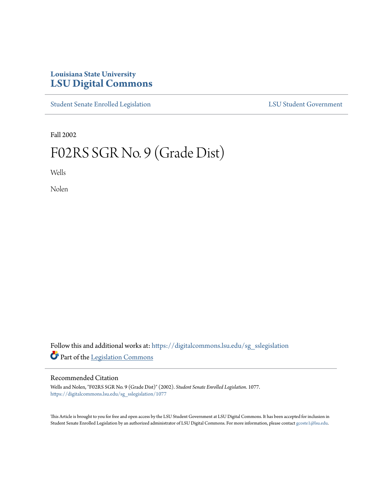## **Louisiana State University [LSU Digital Commons](https://digitalcommons.lsu.edu?utm_source=digitalcommons.lsu.edu%2Fsg_sslegislation%2F1077&utm_medium=PDF&utm_campaign=PDFCoverPages)**

[Student Senate Enrolled Legislation](https://digitalcommons.lsu.edu/sg_sslegislation?utm_source=digitalcommons.lsu.edu%2Fsg_sslegislation%2F1077&utm_medium=PDF&utm_campaign=PDFCoverPages) [LSU Student Government](https://digitalcommons.lsu.edu/sg?utm_source=digitalcommons.lsu.edu%2Fsg_sslegislation%2F1077&utm_medium=PDF&utm_campaign=PDFCoverPages)

Fall 2002

# F02RS SGR No. 9 (Grade Dist)

Wells

Nolen

Follow this and additional works at: [https://digitalcommons.lsu.edu/sg\\_sslegislation](https://digitalcommons.lsu.edu/sg_sslegislation?utm_source=digitalcommons.lsu.edu%2Fsg_sslegislation%2F1077&utm_medium=PDF&utm_campaign=PDFCoverPages) Part of the [Legislation Commons](http://network.bepress.com/hgg/discipline/859?utm_source=digitalcommons.lsu.edu%2Fsg_sslegislation%2F1077&utm_medium=PDF&utm_campaign=PDFCoverPages)

#### Recommended Citation

Wells and Nolen, "F02RS SGR No. 9 (Grade Dist)" (2002). *Student Senate Enrolled Legislation*. 1077. [https://digitalcommons.lsu.edu/sg\\_sslegislation/1077](https://digitalcommons.lsu.edu/sg_sslegislation/1077?utm_source=digitalcommons.lsu.edu%2Fsg_sslegislation%2F1077&utm_medium=PDF&utm_campaign=PDFCoverPages)

This Article is brought to you for free and open access by the LSU Student Government at LSU Digital Commons. It has been accepted for inclusion in Student Senate Enrolled Legislation by an authorized administrator of LSU Digital Commons. For more information, please contact [gcoste1@lsu.edu.](mailto:gcoste1@lsu.edu)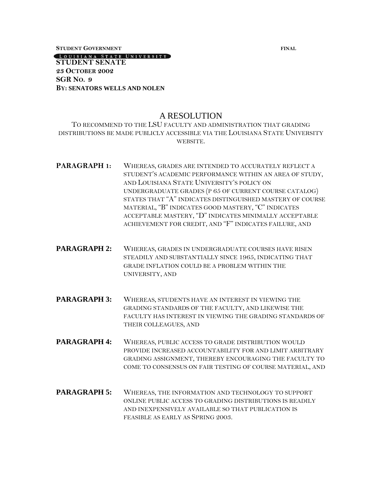**STUDENT GOVERNMENT FINAL**

[LOUISIANA STATE UNIVERSITY] **STUDENT SENATE 23 OCTOBER 2002 SGR NO. 9 BY: SENATORS WELLS AND NOLEN**

### A RESOLUTION

TO RECOMMEND TO THE LSU FACULTY AND ADMINISTRATION THAT GRADING DISTRIBUTIONS BE MADE PUBLICLY ACCESSIBLE VIA THE LOUISIANA STATE UNIVERSITY WEBSITE.

- **PARAGRAPH 1:** WHEREAS, GRADES ARE INTENDED TO ACCURATELY REFLECT A STUDENT'S ACADEMIC PERFORMANCE WITHIN AN AREA OF STUDY, AND LOUISIANA STATE UNIVERSITY'S POLICY ON UNDERGRADUATE GRADES (P 65 OF CURRENT COURSE CATALOG) STATES THAT "A" INDICATES DISTINGUISHED MASTERY OF COURSE MATERIAL, "B" INDICATES GOOD MASTERY, "C" INDICATES ACCEPTABLE MASTERY, "D" INDICATES MINIMALLY ACCEPTABLE ACHIEVEMENT FOR CREDIT, AND "F" INDICATES FAILURE, AND
- **PARAGRAPH 2:** WHEREAS, GRADES IN UNDERGRADUATE COURSES HAVE RISEN STEADILY AND SUBSTANTIALLY SINCE 1965, INDICATING THAT GRADE INFLATION COULD BE A PROBLEM WITHIN THE UNIVERSITY, AND
- **PARAGRAPH 3:** WHEREAS, STUDENTS HAVE AN INTEREST IN VIEWING THE GRADING STANDARDS OF THE FACULTY, AND LIKEWISE THE FACULTY HAS INTEREST IN VIEWING THE GRADING STANDARDS OF THEIR COLLEAGUES, AND
- **PARAGRAPH 4:** WHEREAS, PUBLIC ACCESS TO GRADE DISTRIBUTION WOULD PROVIDE INCREASED ACCOUNTABILITY FOR AND LIMIT ARBITRARY GRADING ASSIGNMENT, THEREBY ENCOURAGING THE FACULTY TO COME TO CONSENSUS ON FAIR TESTING OF COURSE MATERIAL, AND
- **PARAGRAPH 5:** WHEREAS, THE INFORMATION AND TECHNOLOGY TO SUPPORT ONLINE PUBLIC ACCESS TO GRADING DISTRIBUTIONS IS READILY AND INEXPENSIVELY AVAILABLE SO THAT PUBLICATION IS FEASIBLE AS EARLY AS SPRING 2003.